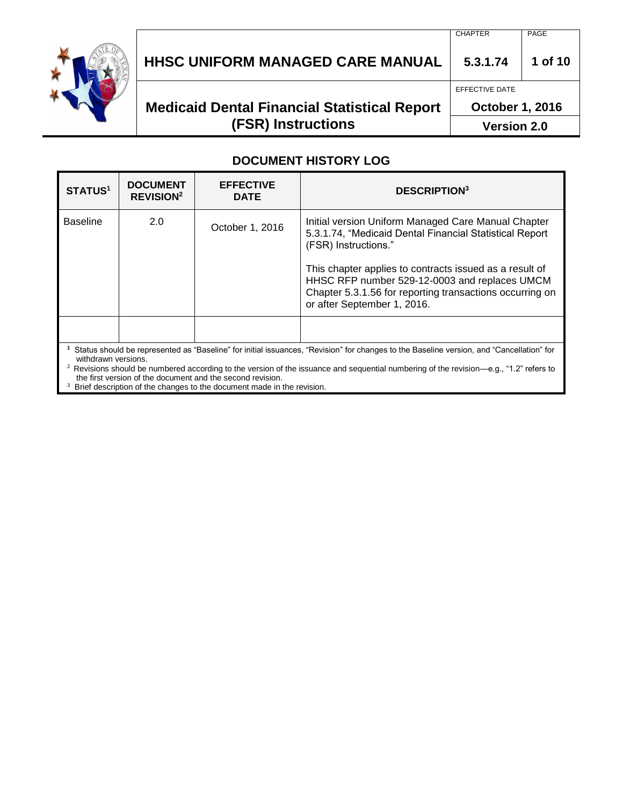

# **HHSC UNIFORM MANAGED CARE MANUAL 5.3.1.74 1 of 10**

## **Medicaid Dental Financial Statistical Report (FSR) Instructions**

EFFECTIVE DATE

**October 1, 2016**

**Version 2.0**

#### **DOCUMENT HISTORY LOG**

| <b>STATUS1</b>                                                                                                                                                                                                                                                                                                       | <b>DOCUMENT</b><br><b>REVISION<sup>2</sup></b> | <b>EFFECTIVE</b><br><b>DATE</b> | <b>DESCRIPTION3</b>                                                                                                                                                                                                                                                                                                                           |  |
|----------------------------------------------------------------------------------------------------------------------------------------------------------------------------------------------------------------------------------------------------------------------------------------------------------------------|------------------------------------------------|---------------------------------|-----------------------------------------------------------------------------------------------------------------------------------------------------------------------------------------------------------------------------------------------------------------------------------------------------------------------------------------------|--|
| <b>Baseline</b>                                                                                                                                                                                                                                                                                                      | 2.0                                            | October 1, 2016                 | Initial version Uniform Managed Care Manual Chapter<br>5.3.1.74, "Medicaid Dental Financial Statistical Report<br>(FSR) Instructions."<br>This chapter applies to contracts issued as a result of<br>HHSC RFP number 529-12-0003 and replaces UMCM<br>Chapter 5.3.1.56 for reporting transactions occurring on<br>or after September 1, 2016. |  |
|                                                                                                                                                                                                                                                                                                                      |                                                |                                 |                                                                                                                                                                                                                                                                                                                                               |  |
| Status should be represented as "Baseline" for initial issuances, "Revision" for changes to the Baseline version, and "Cancellation" for<br>withdrawn versions.<br><sup>2</sup> Revisions should be numbered according to the version of the issuance and sequential numbering of the revision—e.g., "1.2" refers to |                                                |                                 |                                                                                                                                                                                                                                                                                                                                               |  |

the first version of the document and the second revision. <sup>3</sup> Brief description of the changes to the document made in the revision.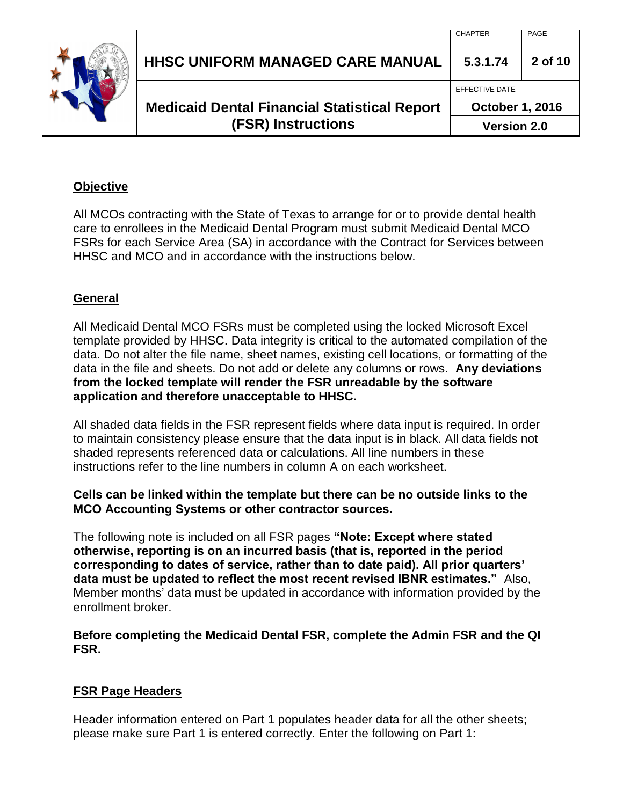| <b>(FSR) Instructions</b>                           | <b>Version 2.0</b>     |         |
|-----------------------------------------------------|------------------------|---------|
| <b>Medicaid Dental Financial Statistical Report</b> | <b>October 1, 2016</b> |         |
|                                                     | EFFECTIVE DATE         |         |
| <b>HHSC UNIFORM MANAGED CARE MANUAL</b>             | 5.3.1.74               | 2 of 10 |
|                                                     | <b>CHAPTER</b>         | PAGE    |

#### **Objective**

All MCOs contracting with the State of Texas to arrange for or to provide dental health care to enrollees in the Medicaid Dental Program must submit Medicaid Dental MCO FSRs for each Service Area (SA) in accordance with the Contract for Services between HHSC and MCO and in accordance with the instructions below.

#### **General**

All Medicaid Dental MCO FSRs must be completed using the locked Microsoft Excel template provided by HHSC. Data integrity is critical to the automated compilation of the data. Do not alter the file name, sheet names, existing cell locations, or formatting of the data in the file and sheets. Do not add or delete any columns or rows. **Any deviations from the locked template will render the FSR unreadable by the software application and therefore unacceptable to HHSC.**

All shaded data fields in the FSR represent fields where data input is required. In order to maintain consistency please ensure that the data input is in black. All data fields not shaded represents referenced data or calculations. All line numbers in these instructions refer to the line numbers in column A on each worksheet.

#### **Cells can be linked within the template but there can be no outside links to the MCO Accounting Systems or other contractor sources.**

The following note is included on all FSR pages **"Note: Except where stated otherwise, reporting is on an incurred basis (that is, reported in the period corresponding to dates of service, rather than to date paid). All prior quarters' data must be updated to reflect the most recent revised IBNR estimates."** Also, Member months' data must be updated in accordance with information provided by the enrollment broker.

**Before completing the Medicaid Dental FSR, complete the Admin FSR and the QI FSR.** 

#### **FSR Page Headers**

Header information entered on Part 1 populates header data for all the other sheets; please make sure Part 1 is entered correctly. Enter the following on Part 1: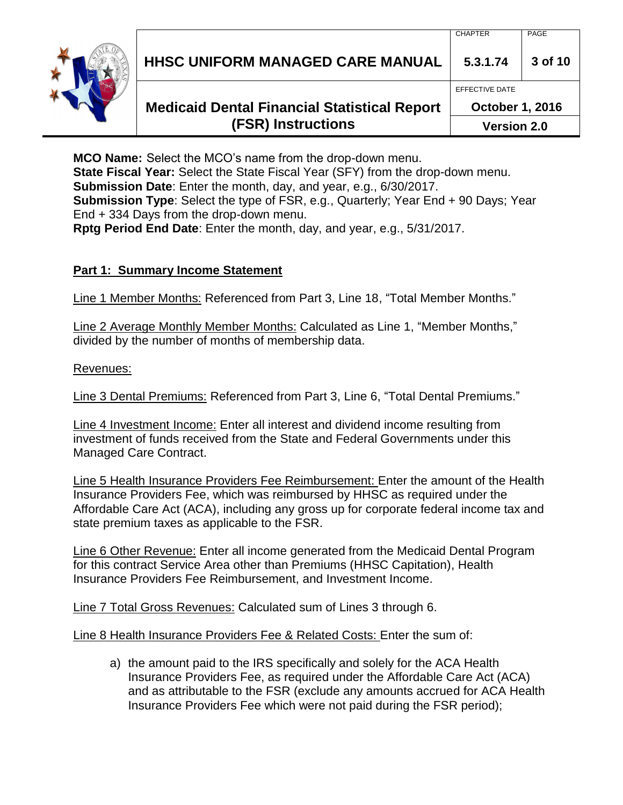**HHSC UNIFORM MANAGED CARE MANUAL 5.3.1.74 3 of 10**

### **Medicaid Dental Financial Statistical Report (FSR) Instructions**

**MCO Name:** Select the MCO's name from the drop-down menu. **State Fiscal Year:** Select the State Fiscal Year (SFY) from the drop-down menu. **Submission Date**: Enter the month, day, and year, e.g., 6/30/2017. **Submission Type**: Select the type of FSR, e.g., Quarterly; Year End + 90 Days; Year End + 334 Days from the drop-down menu.

**Rptg Period End Date**: Enter the month, day, and year, e.g., 5/31/2017.

#### **Part 1: Summary Income Statement**

Line 1 Member Months: Referenced from Part 3, Line 18, "Total Member Months."

Line 2 Average Monthly Member Months: Calculated as Line 1, "Member Months," divided by the number of months of membership data.

Revenues:

Line 3 Dental Premiums: Referenced from Part 3, Line 6, "Total Dental Premiums."

Line 4 Investment Income: Enter all interest and dividend income resulting from investment of funds received from the State and Federal Governments under this Managed Care Contract.

Line 5 Health Insurance Providers Fee Reimbursement: Enter the amount of the Health Insurance Providers Fee, which was reimbursed by HHSC as required under the Affordable Care Act (ACA), including any gross up for corporate federal income tax and state premium taxes as applicable to the FSR.

Line 6 Other Revenue: Enter all income generated from the Medicaid Dental Program for this contract Service Area other than Premiums (HHSC Capitation), Health Insurance Providers Fee Reimbursement, and Investment Income.

Line 7 Total Gross Revenues: Calculated sum of Lines 3 through 6.

Line 8 Health Insurance Providers Fee & Related Costs: Enter the sum of:

a) the amount paid to the IRS specifically and solely for the ACA Health Insurance Providers Fee, as required under the Affordable Care Act (ACA) and as attributable to the FSR (exclude any amounts accrued for ACA Health Insurance Providers Fee which were not paid during the FSR period);

EFFECTIVE DATE

**October 1, 2016**

**Version 2.0**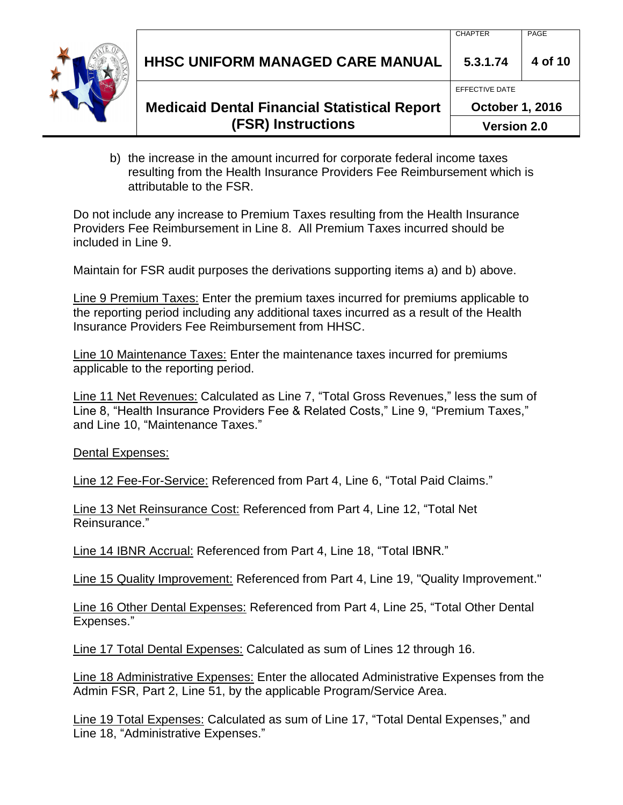**HHSC UNIFORM MANAGED CARE MANUAL 5.3.1.74 4 of 10**



**Medicaid Dental Financial Statistical Report (FSR) Instructions**

EFFECTIVE DATE

**October 1, 2016**

**Version 2.0**

b) the increase in the amount incurred for corporate federal income taxes resulting from the Health Insurance Providers Fee Reimbursement which is attributable to the FSR.

Do not include any increase to Premium Taxes resulting from the Health Insurance Providers Fee Reimbursement in Line 8. All Premium Taxes incurred should be included in Line 9.

Maintain for FSR audit purposes the derivations supporting items a) and b) above.

Line 9 Premium Taxes: Enter the premium taxes incurred for premiums applicable to the reporting period including any additional taxes incurred as a result of the Health Insurance Providers Fee Reimbursement from HHSC.

Line 10 Maintenance Taxes: Enter the maintenance taxes incurred for premiums applicable to the reporting period.

Line 11 Net Revenues: Calculated as Line 7, "Total Gross Revenues," less the sum of Line 8, "Health Insurance Providers Fee & Related Costs," Line 9, "Premium Taxes," and Line 10, "Maintenance Taxes."

Dental Expenses:

Line 12 Fee-For-Service: Referenced from Part 4, Line 6, "Total Paid Claims."

Line 13 Net Reinsurance Cost: Referenced from Part 4, Line 12, "Total Net Reinsurance."

Line 14 IBNR Accrual: Referenced from Part 4, Line 18, "Total IBNR."

Line 15 Quality Improvement: Referenced from Part 4, Line 19, "Quality Improvement."

Line 16 Other Dental Expenses: Referenced from Part 4, Line 25, "Total Other Dental Expenses."

Line 17 Total Dental Expenses: Calculated as sum of Lines 12 through 16.

Line 18 Administrative Expenses: Enter the allocated Administrative Expenses from the Admin FSR, Part 2, Line 51, by the applicable Program/Service Area.

Line 19 Total Expenses: Calculated as sum of Line 17, "Total Dental Expenses," and Line 18, "Administrative Expenses."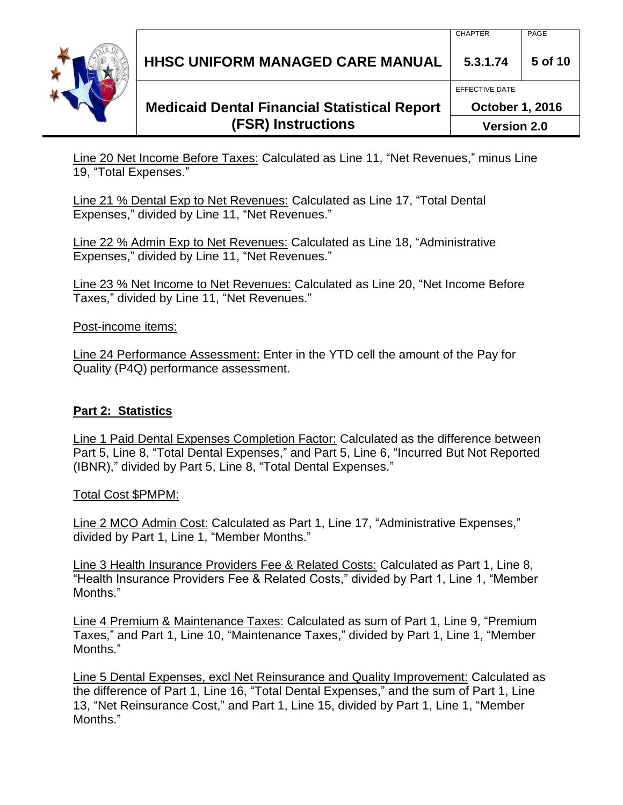**HHSC UNIFORM MANAGED CARE MANUAL 5.3.1.74 5 of 10**

## **Medicaid Dental Financial Statistical Report (FSR) Instructions**

Line 20 Net Income Before Taxes: Calculated as Line 11, "Net Revenues," minus Line 19, "Total Expenses."

Line 21 % Dental Exp to Net Revenues: Calculated as Line 17, "Total Dental Expenses," divided by Line 11, "Net Revenues."

Line 22 % Admin Exp to Net Revenues: Calculated as Line 18, "Administrative Expenses," divided by Line 11, "Net Revenues."

Line 23 % Net Income to Net Revenues: Calculated as Line 20, "Net Income Before Taxes," divided by Line 11, "Net Revenues."

Post-income items:

Line 24 Performance Assessment: Enter in the YTD cell the amount of the Pay for Quality (P4Q) performance assessment.

### **Part 2: Statistics**

Line 1 Paid Dental Expenses Completion Factor: Calculated as the difference between Part 5, Line 8, "Total Dental Expenses," and Part 5, Line 6, "Incurred But Not Reported (IBNR)," divided by Part 5, Line 8, "Total Dental Expenses."

Total Cost \$PMPM:

Line 2 MCO Admin Cost: Calculated as Part 1, Line 17, "Administrative Expenses," divided by Part 1, Line 1, "Member Months."

Line 3 Health Insurance Providers Fee & Related Costs: Calculated as Part 1, Line 8, "Health Insurance Providers Fee & Related Costs," divided by Part 1, Line 1, "Member Months."

Line 4 Premium & Maintenance Taxes: Calculated as sum of Part 1, Line 9, "Premium Taxes," and Part 1, Line 10, "Maintenance Taxes," divided by Part 1, Line 1, "Member Months."

Line 5 Dental Expenses, excl Net Reinsurance and Quality Improvement: Calculated as the difference of Part 1, Line 16, "Total Dental Expenses," and the sum of Part 1, Line 13, "Net Reinsurance Cost," and Part 1, Line 15, divided by Part 1, Line 1, "Member Months."



EFFECTIVE DATE

**October 1, 2016**

**Version 2.0**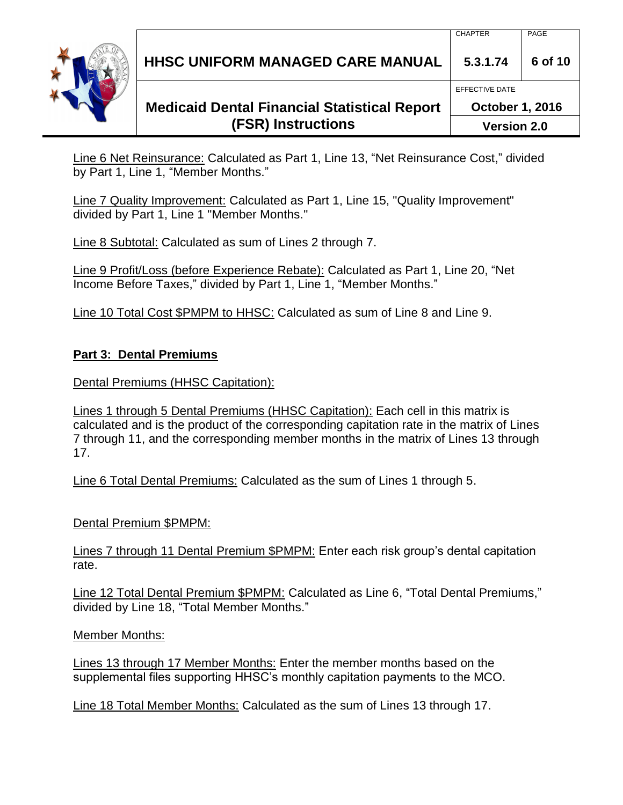**HHSC UNIFORM MANAGED CARE MANUAL 5.3.1.74 6 of 10**

## **Medicaid Dental Financial Statistical Report (FSR) Instructions**

Line 6 Net Reinsurance: Calculated as Part 1, Line 13, "Net Reinsurance Cost," divided by Part 1, Line 1, "Member Months."

Line 7 Quality Improvement: Calculated as Part 1, Line 15, "Quality Improvement" divided by Part 1, Line 1 "Member Months."

Line 8 Subtotal: Calculated as sum of Lines 2 through 7.

Line 9 Profit/Loss (before Experience Rebate): Calculated as Part 1, Line 20, "Net Income Before Taxes," divided by Part 1, Line 1, "Member Months."

Line 10 Total Cost \$PMPM to HHSC: Calculated as sum of Line 8 and Line 9.

### **Part 3: Dental Premiums**

Dental Premiums (HHSC Capitation):

Lines 1 through 5 Dental Premiums (HHSC Capitation): Each cell in this matrix is calculated and is the product of the corresponding capitation rate in the matrix of Lines 7 through 11, and the corresponding member months in the matrix of Lines 13 through 17.

Line 6 Total Dental Premiums: Calculated as the sum of Lines 1 through 5.

Dental Premium \$PMPM:

Lines 7 through 11 Dental Premium \$PMPM: Enter each risk group's dental capitation rate.

Line 12 Total Dental Premium \$PMPM: Calculated as Line 6, "Total Dental Premiums," divided by Line 18, "Total Member Months."

### Member Months:

Lines 13 through 17 Member Months: Enter the member months based on the supplemental files supporting HHSC's monthly capitation payments to the MCO.

Line 18 Total Member Months: Calculated as the sum of Lines 13 through 17.

EFFECTIVE DATE

**October 1, 2016**

**Version 2.0**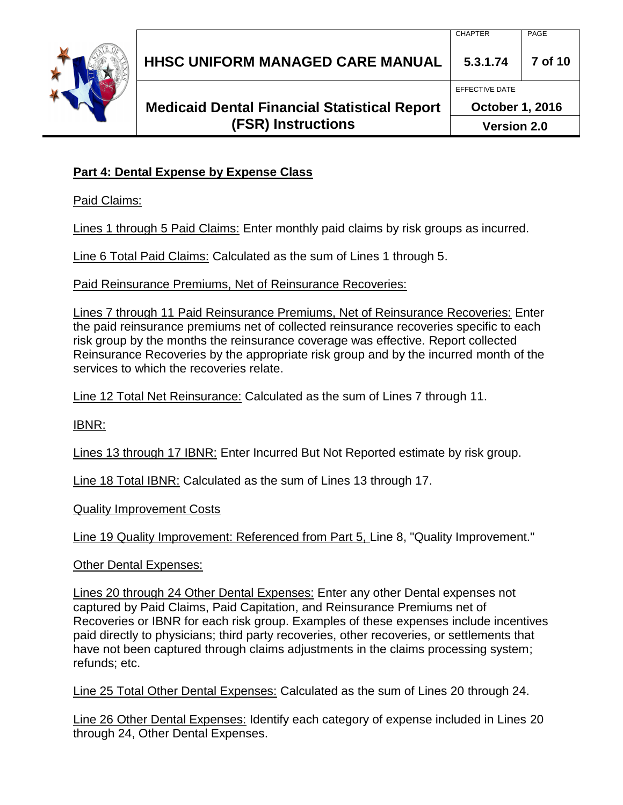|  | <b>(FSR) Instructions</b>                           | <b>Version 2.0</b>     |         |
|--|-----------------------------------------------------|------------------------|---------|
|  | <b>Medicaid Dental Financial Statistical Report</b> | <b>October 1, 2016</b> |         |
|  |                                                     | EFFECTIVE DATE         |         |
|  | <b>HHSC UNIFORM MANAGED CARE MANUAL</b>             | 5.3.1.74               | 7 of 10 |
|  |                                                     | <b>CHAPTER</b>         | PAGE    |

### **Part 4: Dental Expense by Expense Class**

Paid Claims:

Lines 1 through 5 Paid Claims: Enter monthly paid claims by risk groups as incurred.

Line 6 Total Paid Claims: Calculated as the sum of Lines 1 through 5.

Paid Reinsurance Premiums, Net of Reinsurance Recoveries:

Lines 7 through 11 Paid Reinsurance Premiums, Net of Reinsurance Recoveries: Enter the paid reinsurance premiums net of collected reinsurance recoveries specific to each risk group by the months the reinsurance coverage was effective. Report collected Reinsurance Recoveries by the appropriate risk group and by the incurred month of the services to which the recoveries relate.

Line 12 Total Net Reinsurance: Calculated as the sum of Lines 7 through 11.

IBNR:

Lines 13 through 17 IBNR: Enter Incurred But Not Reported estimate by risk group.

Line 18 Total IBNR: Calculated as the sum of Lines 13 through 17.

Quality Improvement Costs

Line 19 Quality Improvement: Referenced from Part 5, Line 8, "Quality Improvement."

Other Dental Expenses:

Lines 20 through 24 Other Dental Expenses: Enter any other Dental expenses not captured by Paid Claims, Paid Capitation, and Reinsurance Premiums net of Recoveries or IBNR for each risk group. Examples of these expenses include incentives paid directly to physicians; third party recoveries, other recoveries, or settlements that have not been captured through claims adjustments in the claims processing system; refunds; etc.

Line 25 Total Other Dental Expenses: Calculated as the sum of Lines 20 through 24.

Line 26 Other Dental Expenses: Identify each category of expense included in Lines 20 through 24, Other Dental Expenses.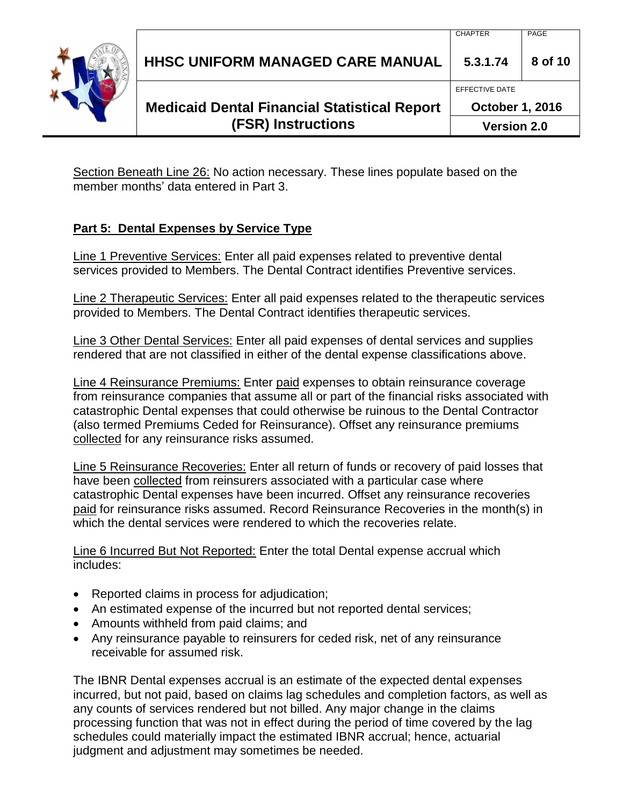**HHSC UNIFORM MANAGED CARE MANUAL 5.3.1.74 8 of 10**

## **Medicaid Dental Financial Statistical Report (FSR) Instructions**

**October 1, 2016**

**Version 2.0**

Section Beneath Line 26: No action necessary. These lines populate based on the member months' data entered in Part 3.

### **Part 5: Dental Expenses by Service Type**

Line 1 Preventive Services: Enter all paid expenses related to preventive dental services provided to Members. The Dental Contract identifies Preventive services.

Line 2 Therapeutic Services: Enter all paid expenses related to the therapeutic services provided to Members. The Dental Contract identifies therapeutic services.

Line 3 Other Dental Services: Enter all paid expenses of dental services and supplies rendered that are not classified in either of the dental expense classifications above.

Line 4 Reinsurance Premiums: Enter paid expenses to obtain reinsurance coverage from reinsurance companies that assume all or part of the financial risks associated with catastrophic Dental expenses that could otherwise be ruinous to the Dental Contractor (also termed Premiums Ceded for Reinsurance). Offset any reinsurance premiums collected for any reinsurance risks assumed.

Line 5 Reinsurance Recoveries: Enter all return of funds or recovery of paid losses that have been collected from reinsurers associated with a particular case where catastrophic Dental expenses have been incurred. Offset any reinsurance recoveries paid for reinsurance risks assumed. Record Reinsurance Recoveries in the month(s) in which the dental services were rendered to which the recoveries relate.

Line 6 Incurred But Not Reported: Enter the total Dental expense accrual which includes:

- Reported claims in process for adjudication;
- An estimated expense of the incurred but not reported dental services;
- Amounts withheld from paid claims; and
- Any reinsurance payable to reinsurers for ceded risk, net of any reinsurance receivable for assumed risk.

The IBNR Dental expenses accrual is an estimate of the expected dental expenses incurred, but not paid, based on claims lag schedules and completion factors, as well as any counts of services rendered but not billed. Any major change in the claims processing function that was not in effect during the period of time covered by the lag schedules could materially impact the estimated IBNR accrual; hence, actuarial judgment and adjustment may sometimes be needed.



EFFECTIVE DATE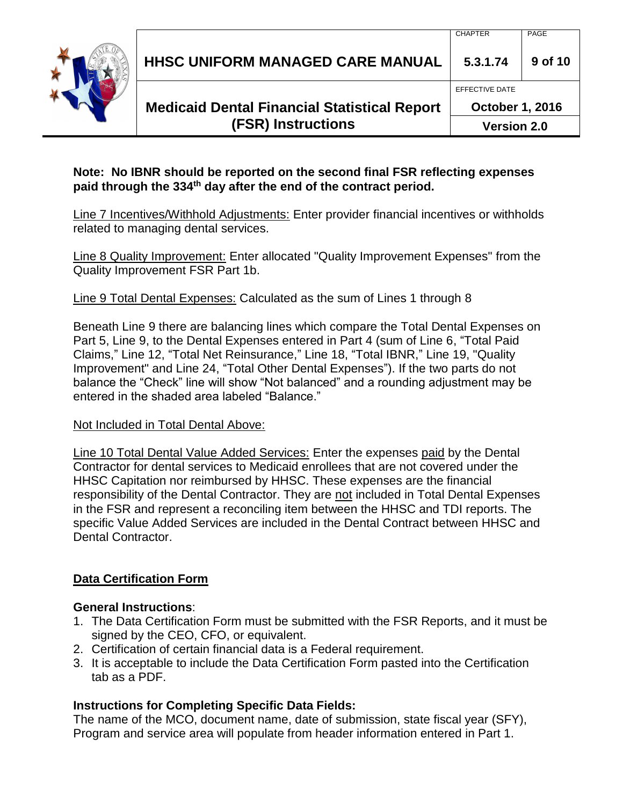**HHSC UNIFORM MANAGED CARE MANUAL 5.3.1.74 9 of 10**

## **Medicaid Dental Financial Statistical Report (FSR) Instructions**

**October 1, 2016**

EFFECTIVE DATE

**Version 2.0**

#### **Note: No IBNR should be reported on the second final FSR reflecting expenses paid through the 334th day after the end of the contract period.**

Line 7 Incentives/Withhold Adjustments: Enter provider financial incentives or withholds related to managing dental services.

Line 8 Quality Improvement: Enter allocated "Quality Improvement Expenses" from the Quality Improvement FSR Part 1b.

Line 9 Total Dental Expenses: Calculated as the sum of Lines 1 through 8

Beneath Line 9 there are balancing lines which compare the Total Dental Expenses on Part 5, Line 9, to the Dental Expenses entered in Part 4 (sum of Line 6, "Total Paid Claims," Line 12, "Total Net Reinsurance," Line 18, "Total IBNR," Line 19, "Quality Improvement" and Line 24, "Total Other Dental Expenses"). If the two parts do not balance the "Check" line will show "Not balanced" and a rounding adjustment may be entered in the shaded area labeled "Balance."

#### Not Included in Total Dental Above:

Line 10 Total Dental Value Added Services: Enter the expenses paid by the Dental Contractor for dental services to Medicaid enrollees that are not covered under the HHSC Capitation nor reimbursed by HHSC. These expenses are the financial responsibility of the Dental Contractor. They are not included in Total Dental Expenses in the FSR and represent a reconciling item between the HHSC and TDI reports. The specific Value Added Services are included in the Dental Contract between HHSC and Dental Contractor.

### **Data Certification Form**

#### **General Instructions**:

- 1. The Data Certification Form must be submitted with the FSR Reports, and it must be signed by the CEO, CFO, or equivalent.
- 2. Certification of certain financial data is a Federal requirement.
- 3. It is acceptable to include the Data Certification Form pasted into the Certification tab as a PDF.

### **Instructions for Completing Specific Data Fields:**

The name of the MCO, document name, date of submission, state fiscal year (SFY), Program and service area will populate from header information entered in Part 1.